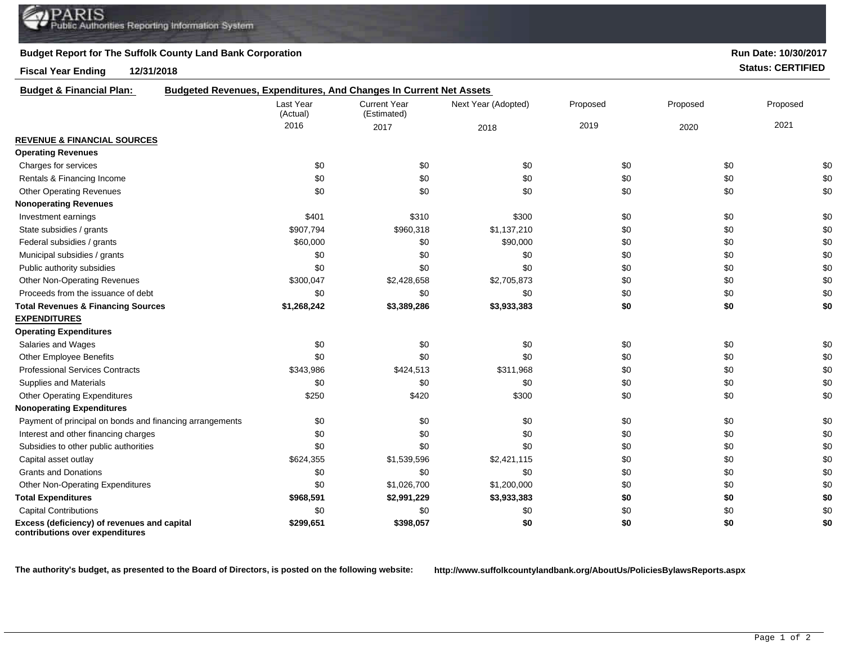## **Budget Report for The Suffolk County Land Bank Corporation**

**Fiscal Year Ending 12/31/2018 Status: CERTIFIED**

**Run Date: 10/30/2017**

| <b>Budget &amp; Financial Plan:</b>                                            | <b>Budgeted Revenues, Expenditures, And Changes In Current Net Assets</b> |                                    |                     |          |          |          |
|--------------------------------------------------------------------------------|---------------------------------------------------------------------------|------------------------------------|---------------------|----------|----------|----------|
|                                                                                | Last Year<br>(Actual)                                                     | <b>Current Year</b><br>(Estimated) | Next Year (Adopted) | Proposed | Proposed | Proposed |
|                                                                                | 2016                                                                      | 2017                               | 2018                | 2019     | 2020     | 2021     |
| <b>REVENUE &amp; FINANCIAL SOURCES</b>                                         |                                                                           |                                    |                     |          |          |          |
| <b>Operating Revenues</b>                                                      |                                                                           |                                    |                     |          |          |          |
| Charges for services                                                           | \$0                                                                       | \$0                                | \$0                 | \$0      | \$0      | \$0      |
| Rentals & Financing Income                                                     | \$0                                                                       | \$0                                | \$0                 | \$0      | \$0      | \$0      |
| <b>Other Operating Revenues</b>                                                | \$0                                                                       | \$0                                | \$0                 | \$0      | \$0      | \$0      |
| <b>Nonoperating Revenues</b>                                                   |                                                                           |                                    |                     |          |          |          |
| Investment earnings                                                            | \$401                                                                     | \$310                              | \$300               | \$0      | \$0      | \$0      |
| State subsidies / grants                                                       | \$907,794                                                                 | \$960,318                          | \$1,137,210         | \$0      | \$0      | \$0      |
| Federal subsidies / grants                                                     | \$60,000                                                                  | \$0                                | \$90,000            | \$0      | \$0      | \$0      |
| Municipal subsidies / grants                                                   | \$0                                                                       | \$0                                | \$0                 | \$0      | \$0      | \$0      |
| Public authority subsidies                                                     | \$0                                                                       | \$0                                | \$0                 | \$0      | \$0      | \$0      |
| <b>Other Non-Operating Revenues</b>                                            | \$300,047                                                                 | \$2,428,658                        | \$2,705,873         | \$0      | \$0      | \$0      |
| Proceeds from the issuance of debt                                             | \$0                                                                       | \$0                                | \$0                 | \$0      | \$0      | \$0      |
| <b>Total Revenues &amp; Financing Sources</b>                                  | \$1,268,242                                                               | \$3,389,286                        | \$3,933,383         | \$0      | \$0      | \$0      |
| <b>EXPENDITURES</b>                                                            |                                                                           |                                    |                     |          |          |          |
| <b>Operating Expenditures</b>                                                  |                                                                           |                                    |                     |          |          |          |
| Salaries and Wages                                                             | \$0                                                                       | \$0                                | \$0                 | \$0      | \$0      | \$0      |
| Other Employee Benefits                                                        | \$0                                                                       | \$0                                | \$0                 | \$0      | \$0      | \$0      |
| <b>Professional Services Contracts</b>                                         | \$343,986                                                                 | \$424,513                          | \$311,968           | \$0      | \$0      | \$0      |
| Supplies and Materials                                                         | \$0                                                                       | \$0                                | \$0                 | \$0      | \$0      | \$0      |
| <b>Other Operating Expenditures</b>                                            | \$250                                                                     | \$420                              | \$300               | \$0      | \$0      | \$0      |
| <b>Nonoperating Expenditures</b>                                               |                                                                           |                                    |                     |          |          |          |
| Payment of principal on bonds and financing arrangements                       | \$0                                                                       | \$0                                | \$0                 | \$0      | \$0      | \$0      |
| Interest and other financing charges                                           | \$0                                                                       | \$0                                | \$0                 | \$0      | \$0      | \$0      |
| Subsidies to other public authorities                                          | \$0                                                                       | \$0                                | \$0                 | \$0      | \$0      | \$0      |
| Capital asset outlay                                                           | \$624,355                                                                 | \$1,539,596                        | \$2,421,115         | \$0      | \$0      | \$0      |
| <b>Grants and Donations</b>                                                    | \$0                                                                       | \$0                                | \$0                 | \$0      | \$0      | \$0      |
| Other Non-Operating Expenditures                                               | \$0                                                                       | \$1,026,700                        | \$1,200,000         | \$0      | \$0      | \$0      |
| <b>Total Expenditures</b>                                                      | \$968,591                                                                 | \$2,991,229                        | \$3,933,383         | \$0      | \$0      | \$0      |
| <b>Capital Contributions</b>                                                   | \$0                                                                       | \$0                                | \$0                 | \$0      | \$0      | \$0      |
| Excess (deficiency) of revenues and capital<br>contributions over expenditures | \$299,651                                                                 | \$398,057                          | \$0                 | \$0      | \$0      | \$0      |

**The authority's budget, as presented to the Board of Directors, is posted on the following website: http://www.suffolkcountylandbank.org/AboutUs/PoliciesBylawsReports.aspx**